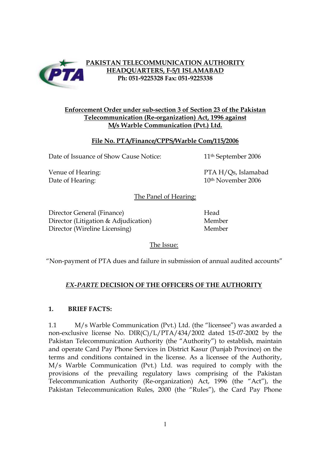

## **PAKISTAN TELECOMMUNICATION AUTHORITY HEADQUARTERS, F-5/1 ISLAMABAD Ph: 051-9225328 Fax: 051-9225338**

## **Enforcement Order under sub-section 3 of Section 23 of the Pakistan Telecommunication (Re-organization) Act, 1996 against M/s Warble Communication (Pvt.) Ltd.**

## **File No. PTA/Finance/CPPS/Warble Com/115/2006**

Date of Issuance of Show Cause Notice: 11<sup>th</sup> September 2006

Venue of Hearing: PTA H/Qs, Islamabad Date of Hearing: 10th November 2006

The Panel of Hearing:

Director General (Finance) Head Director (Litigation & Adjudication) Member Director (Wireline Licensing) Member

The Issue:

"Non-payment of PTA dues and failure in submission of annual audited accounts"

# *EX-PARTE* **DECISION OF THE OFFICERS OF THE AUTHORITY**

# **1. BRIEF FACTS:**

1.1 M/s Warble Communication (Pvt.) Ltd. (the "licensee") was awarded a non-exclusive license No. DIR(C)/L/PTA/434/2002 dated 15-07-2002 by the Pakistan Telecommunication Authority (the "Authority") to establish, maintain and operate Card Pay Phone Services in District Kasur (Punjab Province) on the terms and conditions contained in the license. As a licensee of the Authority, M/s Warble Communication (Pvt.) Ltd. was required to comply with the provisions of the prevailing regulatory laws comprising of the Pakistan Telecommunication Authority (Re-organization) Act, 1996 (the "Act"), the Pakistan Telecommunication Rules, 2000 (the "Rules"), the Card Pay Phone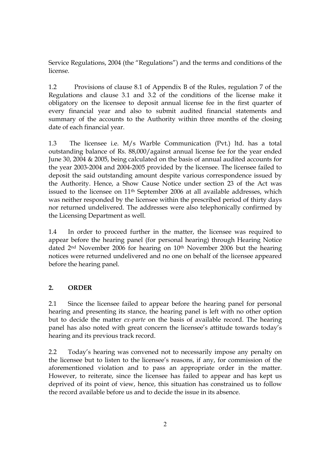Service Regulations, 2004 (the "Regulations") and the terms and conditions of the license.

1.2 Provisions of clause 8.1 of Appendix B of the Rules, regulation 7 of the Regulations and clause 3.1 and 3.2 of the conditions of the license make it obligatory on the licensee to deposit annual license fee in the first quarter of every financial year and also to submit audited financial statements and summary of the accounts to the Authority within three months of the closing date of each financial year.

1.3 The licensee i.e. M/s Warble Communication (Pvt.) ltd. has a total outstanding balance of Rs. 88,000/against annual license fee for the year ended June 30, 2004 & 2005, being calculated on the basis of annual audited accounts for the year 2003-2004 and 2004-2005 provided by the licensee. The licensee failed to deposit the said outstanding amount despite various correspondence issued by the Authority. Hence, a Show Cause Notice under section 23 of the Act was issued to the licensee on 11th September 2006 at all available addresses, which was neither responded by the licensee within the prescribed period of thirty days nor returned undelivered. The addresses were also telephonically confirmed by the Licensing Department as well.

1.4 In order to proceed further in the matter, the licensee was required to appear before the hearing panel (for personal hearing) through Hearing Notice dated 2<sup>nd</sup> November 2006 for hearing on 10<sup>th</sup> November 2006 but the hearing notices were returned undelivered and no one on behalf of the licensee appeared before the hearing panel.

# **2. ORDER**

2.1 Since the licensee failed to appear before the hearing panel for personal hearing and presenting its stance, the hearing panel is left with no other option but to decide the matter *ex-parte* on the basis of available record. The hearing panel has also noted with great concern the licensee's attitude towards today's hearing and its previous track record.

2.2 Today's hearing was convened not to necessarily impose any penalty on the licensee but to listen to the licensee's reasons, if any, for commission of the aforementioned violation and to pass an appropriate order in the matter. However, to reiterate, since the licensee has failed to appear and has kept us deprived of its point of view, hence, this situation has constrained us to follow the record available before us and to decide the issue in its absence.